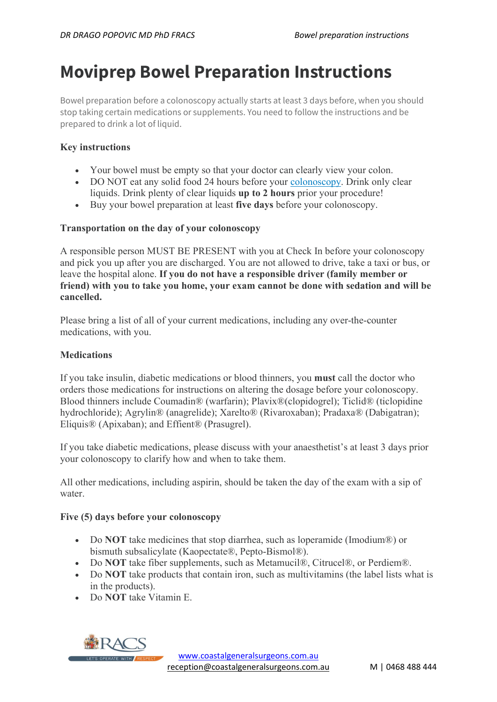# Moviprep Bowel Preparation Instructions

Bowel preparation before a colonoscopy actually starts at least 3 days before, when you should stop taking certain medications or supplements. You need to follow the instructions and be prepared to drink a lot of liquid.

# Key instructions

- Your bowel must be empty so that your doctor can clearly view your colon.
- DO NOT eat any solid food 24 hours before your colonoscopy. Drink only clear liquids. Drink plenty of clear liquids up to 2 hours prior your procedure!
- Buy your bowel preparation at least five days before your colonoscopy.

## Transportation on the day of your colonoscopy

A responsible person MUST BE PRESENT with you at Check In before your colonoscopy and pick you up after you are discharged. You are not allowed to drive, take a taxi or bus, or leave the hospital alone. If you do not have a responsible driver (family member or friend) with you to take you home, your exam cannot be done with sedation and will be cancelled.

Please bring a list of all of your current medications, including any over-the-counter medications, with you.

## **Medications**

If you take insulin, diabetic medications or blood thinners, you must call the doctor who orders those medications for instructions on altering the dosage before your colonoscopy. Blood thinners include Coumadin® (warfarin); Plavix®(clopidogrel); Ticlid® (ticlopidine hydrochloride); Agrylin® (anagrelide); Xarelto® (Rivaroxaban); Pradaxa® (Dabigatran); Eliquis® (Apixaban); and Effient® (Prasugrel).

If you take diabetic medications, please discuss with your anaesthetist's at least 3 days prior your colonoscopy to clarify how and when to take them.

All other medications, including aspirin, should be taken the day of the exam with a sip of water.

### Five (5) days before your colonoscopy

- Do NOT take medicines that stop diarrhea, such as loperamide (Imodium®) or bismuth subsalicylate (Kaopectate®, Pepto-Bismol®).
- Do NOT take fiber supplements, such as Metamucil®, Citrucel®, or Perdiem®.
- Do NOT take products that contain iron, such as multivitamins (the label lists what is in the products).
- Do NOT take Vitamin E.